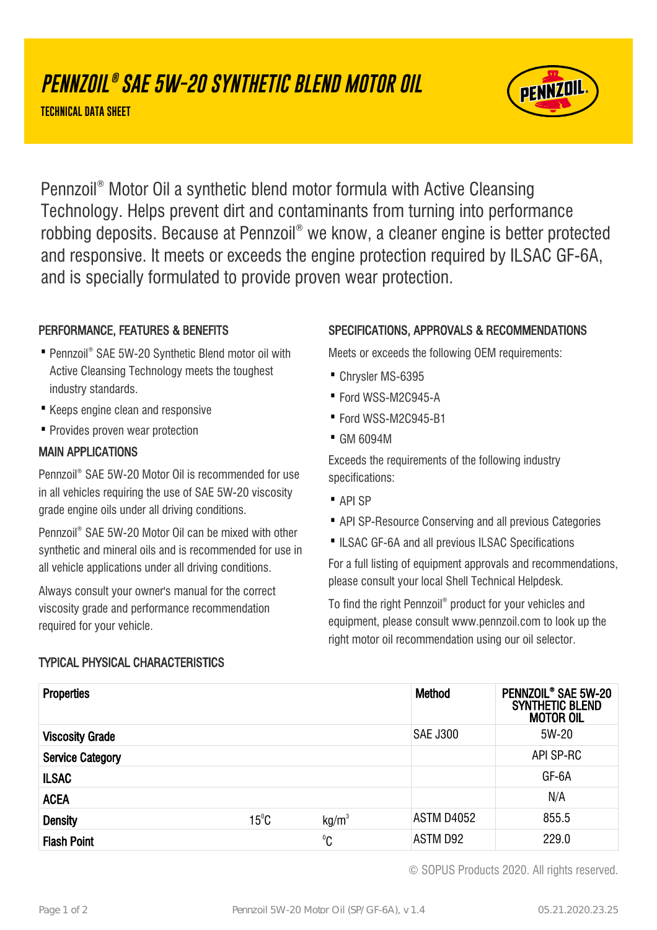# **PENNZOIL ® SAE 5W-20 SYNTHETIC BLEND MOTOR OIL**

**TECHNICAL DATA SHEET**



Pennzoil® Motor Oil a synthetic blend motor formula with Active Cleansing Technology. Helps prevent dirt and contaminants from turning into performance robbing deposits. Because at Pennzoil® we know, a cleaner engine is better protected and responsive. It meets or exceeds the engine protection required by ILSAC GF-6A, and is specially formulated to provide proven wear protection.

# PERFORMANCE, FEATURES & BENEFITS

- Pennzoil® SAE 5W-20 Synthetic Blend motor oil with Active Cleansing Technology meets the toughest industry standards.
- · Keeps engine clean and responsive
- · Provides proven wear protection

# MAIN APPLICATIONS

Pennzoil® SAE 5W-20 Motor Oil is recommended for use in all vehicles requiring the use of SAE 5W-20 viscosity grade engine oils under all driving conditions.

Pennzoil® SAE 5W-20 Motor Oil can be mixed with other synthetic and mineral oils and is recommended for use in all vehicle applications under all driving conditions.

Always consult your owner's manual for the correct viscosity grade and performance recommendation required for your vehicle.

TYPICAL PHYSICAL CHARACTERISTICS

# SPECIFICATIONS, APPROVALS & RECOMMENDATIONS

Meets or exceeds the following OEM requirements:

- · Chrysler MS-6395
- · Ford WSS-M2C945-A
- · Ford WSS-M2C945-B1
- · GM 6094M

Exceeds the requirements of the following industry specifications:

- · API SP
- · API SP-Resource Conserving and all previous Categories
- ·ILSAC GF-6A and all previous ILSAC Specifications

For a full listing of equipment approvals and recommendations, please consult your local Shell Technical Helpdesk.

To find the right Pennzoil® product for your vehicles and equipment, please consult www.pennzoil.com to look up the right motor oil recommendation using our oil selector.

| <b>Properties</b>       |                |                   | Method            | PENNZOIL <sup>®</sup> SAE 5W-20<br><b>SYNTHETIC BLEND</b><br><b>MOTOR OIL</b> |
|-------------------------|----------------|-------------------|-------------------|-------------------------------------------------------------------------------|
| <b>Viscosity Grade</b>  |                |                   | <b>SAE J300</b>   | 5W-20                                                                         |
| <b>Service Category</b> |                |                   |                   | API SP-RC                                                                     |
| <b>ILSAC</b>            |                |                   |                   | GF-6A                                                                         |
| <b>ACEA</b>             |                |                   |                   | N/A                                                                           |
| <b>Density</b>          | $15^{\circ}$ C | kg/m <sup>3</sup> | <b>ASTM D4052</b> | 855.5                                                                         |
| <b>Flash Point</b>      |                | $^0C$             | ASTM D92          | 229.0                                                                         |

© SOPUS Products 2020. All rights reserved.